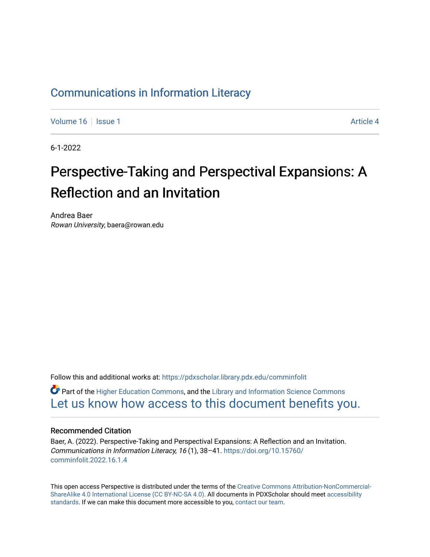### [Communications in Information Literacy](https://pdxscholar.library.pdx.edu/comminfolit)

[Volume 16](https://pdxscholar.library.pdx.edu/comminfolit/vol16) September 19 | [Issue 1](https://pdxscholar.library.pdx.edu/comminfolit/vol16/iss1) Article 4

6-1-2022

# Perspective-Taking and Perspectival Expansions: A Reflection and an Invitation

Andrea Baer Rowan University, baera@rowan.edu

Follow this and additional works at: [https://pdxscholar.library.pdx.edu/comminfolit](https://pdxscholar.library.pdx.edu/comminfolit?utm_source=pdxscholar.library.pdx.edu%2Fcomminfolit%2Fvol16%2Fiss1%2F4&utm_medium=PDF&utm_campaign=PDFCoverPages) 

 $\bullet$  Part of the [Higher Education Commons,](https://network.bepress.com/hgg/discipline/1245?utm_source=pdxscholar.library.pdx.edu%2Fcomminfolit%2Fvol16%2Fiss1%2F4&utm_medium=PDF&utm_campaign=PDFCoverPages) and the Library and Information Science Commons [Let us know how access to this document benefits you.](http://library.pdx.edu/services/pdxscholar-services/pdxscholar-feedback/) 

#### Recommended Citation

Baer, A. (2022). Perspective-Taking and Perspectival Expansions: A Reflection and an Invitation. Communications in Information Literacy, 16 (1), 38–41. [https://doi.org/10.15760/](https://doi.org/10.15760/comminfolit.2022.16.1.4) [comminfolit.2022.16.1.4](https://doi.org/10.15760/comminfolit.2022.16.1.4)

This open access Perspective is distributed under the terms of the [Creative Commons Attribution-NonCommercial-](https://creativecommons.org/licenses/by-nc-sa/4.0/)[ShareAlike 4.0 International License \(CC BY-NC-SA 4.0\).](https://creativecommons.org/licenses/by-nc-sa/4.0/) All documents in PDXScholar should meet [accessibility](https://pdxscholar.library.pdx.edu/accessibility.html) [standards](https://pdxscholar.library.pdx.edu/accessibility.html). If we can make this document more accessible to you, [contact our team.](mailto:pdxscholar@pdx.edu)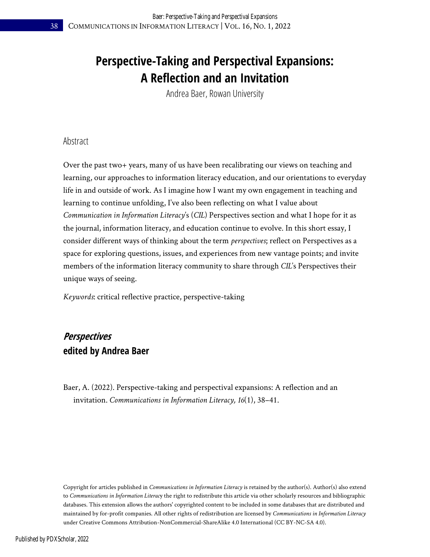## **Perspective-Taking and Perspectival Expansions: A Reflection and an Invitation**

Andrea Baer, Rowan University

#### Abstract

Over the past two+ years, many of us have been recalibrating our views on teaching and learning, our approaches to information literacy education, and our orientations to everyday life in and outside of work. As I imagine how I want my own engagement in teaching and learning to continue unfolding, I've also been reflecting on what I value about *Communication in Information Literacy*'s (*CIL*) Perspectives section and what I hope for it as the journal, information literacy, and education continue to evolve. In this short essay, I consider different ways of thinking about the term *perspectives*; reflect on Perspectives as a space for exploring questions, issues, and experiences from new vantage points; and invite members of the information literacy community to share through *CIL*'s Perspectives their unique ways of seeing.

*Keywords*: critical reflective practice, perspective-taking

### **Perspectives edited by Andrea Baer**

Baer, A. (2022). Perspective-taking and perspectival expansions: A reflection and an invitation. *Communications in Information Literacy, 16*(1), 38–41.

Copyright for articles published in *Communications in Information Literacy* is retained by the author(s). Author(s) also extend to *Communications in Information Literac*y the right to redistribute this article via other scholarly resources and bibliographic databases. This extension allows the authors' copyrighted content to be included in some databases that are distributed and maintained by for-profit companies. All other rights of redistribution are licensed by *Communications in Information Literacy* under Creative Commons Attribution-NonCommercial-ShareAlike 4.0 International (CC BY-NC-SA 4.0).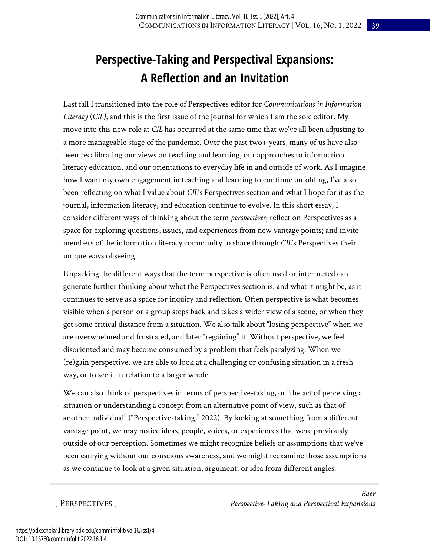## **Perspective-Taking and Perspectival Expansions: A Reflection and an Invitation**

Last fall I transitioned into the role of Perspectives editor for *Communications in Information Literacy* (*CIL)*, and this is the first issue of the journal for which I am the sole editor. My move into this new role at *CIL* has occurred at the same time that we've all been adjusting to a more manageable stage of the pandemic. Over the past two+ years, many of us have also been recalibrating our views on teaching and learning, our approaches to information literacy education, and our orientations to everyday life in and outside of work. As I imagine how I want my own engagement in teaching and learning to continue unfolding, I've also been reflecting on what I value about *CIL*'s Perspectives section and what I hope for it as the journal, information literacy, and education continue to evolve. In this short essay, I consider different ways of thinking about the term *perspectives*; reflect on Perspectives as a space for exploring questions, issues, and experiences from new vantage points; and invite members of the information literacy community to share through *CIL*'s Perspectives their unique ways of seeing.

Unpacking the different ways that the term perspective is often used or interpreted can generate further thinking about what the Perspectives section is, and what it might be, as it continues to serve as a space for inquiry and reflection. Often perspective is what becomes visible when a person or a group steps back and takes a wider view of a scene, or when they get some critical distance from a situation. We also talk about "losing perspective" when we are overwhelmed and frustrated, and later "regaining" it. Without perspective, we feel disoriented and may become consumed by a problem that feels paralyzing. When we (re)gain perspective, we are able to look at a challenging or confusing situation in a fresh way, or to see it in relation to a larger whole.

We can also think of perspectives in terms of perspective-taking, or "the act of perceiving a situation or understanding a concept from an alternative point of view, such as that of another individual" ("Perspective-taking," 2022). By looking at something from a different vantage point, we may notice ideas, people, voices, or experiences that were previously outside of our perception. Sometimes we might recognize beliefs or assumptions that we've been carrying without our conscious awareness, and we might reexamine those assumptions as we continue to look at a given situation, argument, or idea from different angles.

[ PERSPECTIVES ]

*Baer Perspective-Taking and Perspectival Expansions*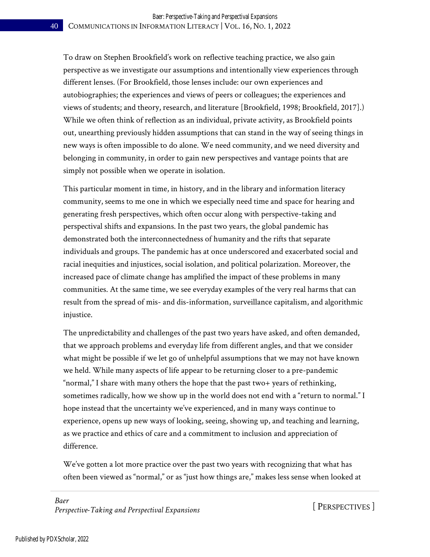To draw on Stephen Brookfield's work on reflective teaching practice, we also gain perspective as we investigate our assumptions and intentionally view experiences through different lenses. (For Brookfield, those lenses include: our own experiences and autobiographies; the experiences and views of peers or colleagues; the experiences and views of students; and theory, research, and literature [Brookfield, 1998; Brookfield, 2017].) While we often think of reflection as an individual, private activity, as Brookfield points out, unearthing previously hidden assumptions that can stand in the way of seeing things in new ways is often impossible to do alone. We need community, and we need diversity and belonging in community, in order to gain new perspectives and vantage points that are simply not possible when we operate in isolation.

This particular moment in time, in history, and in the library and information literacy community, seems to me one in which we especially need time and space for hearing and generating fresh perspectives, which often occur along with perspective-taking and perspectival shifts and expansions. In the past two years, the global pandemic has demonstrated both the interconnectedness of humanity and the rifts that separate individuals and groups. The pandemic has at once underscored and exacerbated social and racial inequities and injustices, social isolation, and political polarization. Moreover, the increased pace of climate change has amplified the impact of these problems in many communities. At the same time, we see everyday examples of the very real harms that can result from the spread of mis- and dis-information, surveillance capitalism, and algorithmic injustice.

The unpredictability and challenges of the past two years have asked, and often demanded, that we approach problems and everyday life from different angles, and that we consider what might be possible if we let go of unhelpful assumptions that we may not have known we held. While many aspects of life appear to be returning closer to a pre-pandemic "normal," I share with many others the hope that the past two+ years of rethinking, sometimes radically, how we show up in the world does not end with a "return to normal." I hope instead that the uncertainty we've experienced, and in many ways continue to experience, opens up new ways of looking, seeing, showing up, and teaching and learning, as we practice and ethics of care and a commitment to inclusion and appreciation of difference.

We've gotten a lot more practice over the past two years with recognizing that what has often been viewed as "normal," or as "just how things are," makes less sense when looked at